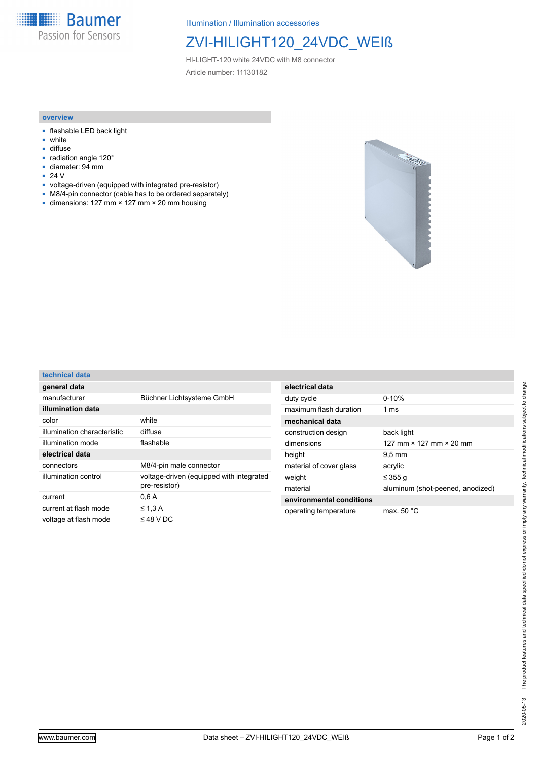**Baumer** Passion for Sensors

Illumination / Illumination accessories

## ZVI-HILIGHT120\_24VDC\_WEIß

HI-LIGHT-120 white 24VDC with M8 connector Article number: 11130182

#### **overview**

- flashable LED back light
- white
- diffuse
- radiation angle 120° ■ diameter: 94 mm
- 
- 24 V<br>■ volta
- voltage-driven (equipped with integrated pre-resistor)
- M8/4-pin connector (cable has to be ordered separately)
- dimensions: 127 mm × 127 mm × 20 mm housing



### **technical data**

| general data                |                                                           |
|-----------------------------|-----------------------------------------------------------|
| manufacturer                | Büchner Lichtsysteme GmbH                                 |
| illumination data           |                                                           |
| color                       | white                                                     |
| illumination characteristic | diffuse                                                   |
| illumination mode           | flashable                                                 |
| electrical data             |                                                           |
| connectors                  | M8/4-pin male connector                                   |
| illumination control        | voltage-driven (equipped with integrated<br>pre-resistor) |
| current                     | 0.6A                                                      |
| current at flash mode       | $\leq 1.3$ A                                              |
| voltage at flash mode       | $\leq$ 48 V DC                                            |

| electrical data          |                                       |
|--------------------------|---------------------------------------|
| duty cycle               | $0 - 10%$                             |
| maximum flash duration   | 1 $ms$                                |
| mechanical data          |                                       |
| construction design      | back light                            |
| dimensions               | 127 mm $\times$ 127 mm $\times$ 20 mm |
| height                   | $9.5 \,\mathrm{mm}$                   |
| material of cover glass  | acrylic                               |
| weight                   | ≤ 355 g                               |
| material                 | aluminum (shot-peened, anodized)      |
| environmental conditions |                                       |
| operating temperature    | max. $50 °C$                          |